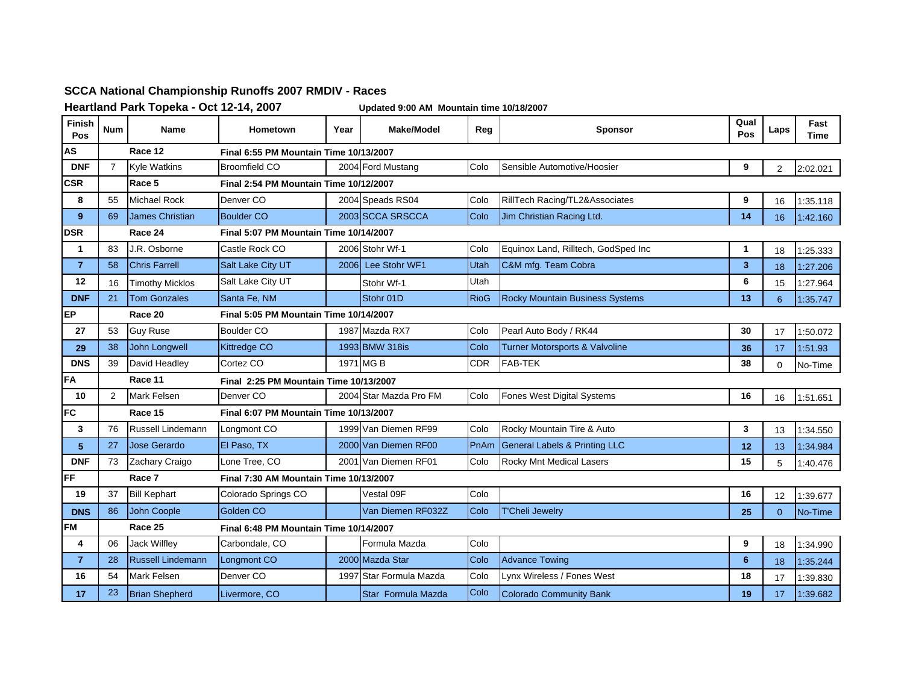## **SCCA National Championship Runoffs 2007 RMDIV - Races**

**Heartland Park Topeka - Oct 12-14, 2007 Updated 9:00 AM Mountain time 10/18/2007**

| Finish<br>Pos  | <b>Num</b>     | <b>Name</b>                                       | <b>Hometown</b>                               | Year | Make/Model             | Reg         | <b>Sponsor</b>                           | Qual<br>Pos     | Laps           | Fast<br>Time |  |
|----------------|----------------|---------------------------------------------------|-----------------------------------------------|------|------------------------|-------------|------------------------------------------|-----------------|----------------|--------------|--|
| AS             |                | Race 12                                           | Final 6:55 PM Mountain Time 10/13/2007        |      |                        |             |                                          |                 |                |              |  |
| <b>DNF</b>     | $\overline{7}$ | <b>Kyle Watkins</b>                               | Broomfield CO                                 |      | 2004 Ford Mustang      | Colo        | Sensible Automotive/Hoosier              | 9               | $\overline{2}$ | 2:02.021     |  |
| <b>CSR</b>     |                | Race 5                                            | <b>Final 2:54 PM Mountain Time 10/12/2007</b> |      |                        |             |                                          |                 |                |              |  |
| 8              | 55             | <b>Michael Rock</b>                               | Denver CO                                     |      | 2004 Speads RS04       | Colo        | RillTech Racing/TL2&Associates           | 9               | 16             | 1:35.118     |  |
| 9              | 69             | <b>James Christian</b>                            | <b>Boulder CO</b>                             |      | 2003 SCCA SRSCCA       | Colo        | Jim Christian Racing Ltd.                | 14              | 16             | 1:42.160     |  |
| <b>DSR</b>     |                | Race 24                                           | Final 5:07 PM Mountain Time 10/14/2007        |      |                        |             |                                          |                 |                |              |  |
| 1              | 83             | J.R. Osborne                                      | Castle Rock CO                                |      | 2006 Stohr Wf-1        | Colo        | Equinox Land, Rilltech, GodSped Inc      | 1               | 18             | 1:25.333     |  |
| $\overline{7}$ | 58             | <b>Chris Farrell</b>                              | Salt Lake City UT                             |      | 2006 Lee Stohr WF1     | Utah        | C&M mfg. Team Cobra                      | 3               | 18             | 1:27.206     |  |
| 12             | 16             | <b>Timothy Micklos</b>                            | Salt Lake City UT                             |      | Stohr Wf-1             | Utah        |                                          | 6               | 15             | 1:27.964     |  |
| <b>DNF</b>     | 21             | <b>Tom Gonzales</b>                               | Santa Fe, NM                                  |      | Stohr 01D              | <b>RioG</b> | <b>Rocky Mountain Business Systems</b>   | 13              | 6              | 1:35.747     |  |
| <b>EP</b>      |                | Race 20                                           | <b>Final 5:05 PM Mountain Time 10/14/2007</b> |      |                        |             |                                          |                 |                |              |  |
| 27             | 53             | <b>Guv Ruse</b>                                   | <b>Boulder CO</b>                             |      | 1987 Mazda RX7         | Colo        | Pearl Auto Body / RK44                   | 30              | 17             | 1:50.072     |  |
| 29             | 38             | <b>John Longwell</b>                              | <b>Kittredge CO</b>                           |      | 1993 BMW 318is         | Colo        | Turner Motorsports & Valvoline           | 36              | 17             | 1:51.93      |  |
| <b>DNS</b>     | 39             | David Headley                                     | Cortez CO                                     |      | 1971 MG B              | <b>CDR</b>  | <b>FAB-TEK</b>                           | 38              | $\Omega$       | No-Time      |  |
| <b>IFA</b>     |                | Race 11                                           | Final 2:25 PM Mountain Time 10/13/2007        |      |                        |             |                                          |                 |                |              |  |
| 10             | 2              | <b>Mark Felsen</b>                                | Denver <sub>CO</sub>                          |      | 2004 Star Mazda Pro FM | Colo        | Fones West Digital Systems               | 16              | 16             | 1:51.651     |  |
| <b>FC</b>      |                | Race 15                                           | Final 6:07 PM Mountain Time 10/13/2007        |      |                        |             |                                          |                 |                |              |  |
| 3              | 76             | Russell Lindemann                                 | Longmont CO                                   |      | 1999 Van Diemen RF99   | Colo        | Rocky Mountain Tire & Auto               | 3               | 13             | 1:34.550     |  |
| 5              | 27             | Jose Gerardo                                      | El Paso, TX                                   |      | 2000 Van Diemen RF00   | PnAm        | <b>General Labels &amp; Printing LLC</b> | 12              | 13             | 1:34.984     |  |
| <b>DNF</b>     | 73             | Zachary Craigo                                    | Lone Tree, CO                                 |      | 2001 Van Diemen RF01   | Colo        | Rocky Mnt Medical Lasers                 | 15              | 5              | 1:40.476     |  |
| FF             |                | Race 7                                            | <b>Final 7:30 AM Mountain Time 10/13/2007</b> |      |                        |             |                                          |                 |                |              |  |
| 19             | 37             | <b>Bill Kephart</b>                               | Colorado Springs CO                           |      | Vestal 09F             | Colo        |                                          | 16              | 12             | 1:39.677     |  |
| <b>DNS</b>     | 86             | John Coople                                       | Golden CO                                     |      | Van Diemen RF032Z      | Colo        | <b>T'Cheli Jewelry</b>                   | 25              | $\Omega$       | No-Time      |  |
| <b>FM</b>      |                | Race 25<br>Final 6:48 PM Mountain Time 10/14/2007 |                                               |      |                        |             |                                          |                 |                |              |  |
| 4              | 06             | <b>Jack Wilflev</b>                               | Carbondale, CO                                |      | Formula Mazda          | Colo        |                                          | 9               | 18             | 1:34.990     |  |
| $\overline{7}$ | 28             | <b>Russell Lindemann</b>                          | Longmont CO                                   |      | 2000 Mazda Star        | Colo        | <b>Advance Towing</b>                    | $6\phantom{1}6$ | 18             | 1:35.244     |  |
| 16             | 54             | <b>Mark Felsen</b>                                | Denver <sub>CO</sub>                          | 1997 | Star Formula Mazda     | Colo        | Lynx Wireless / Fones West               | 18              | 17             | 1:39.830     |  |
| 17             | 23             | <b>Brian Shepherd</b>                             | Livermore, CO                                 |      | Star Formula Mazda     | Colo        | <b>Colorado Community Bank</b>           | 19              | 17             | 1:39.682     |  |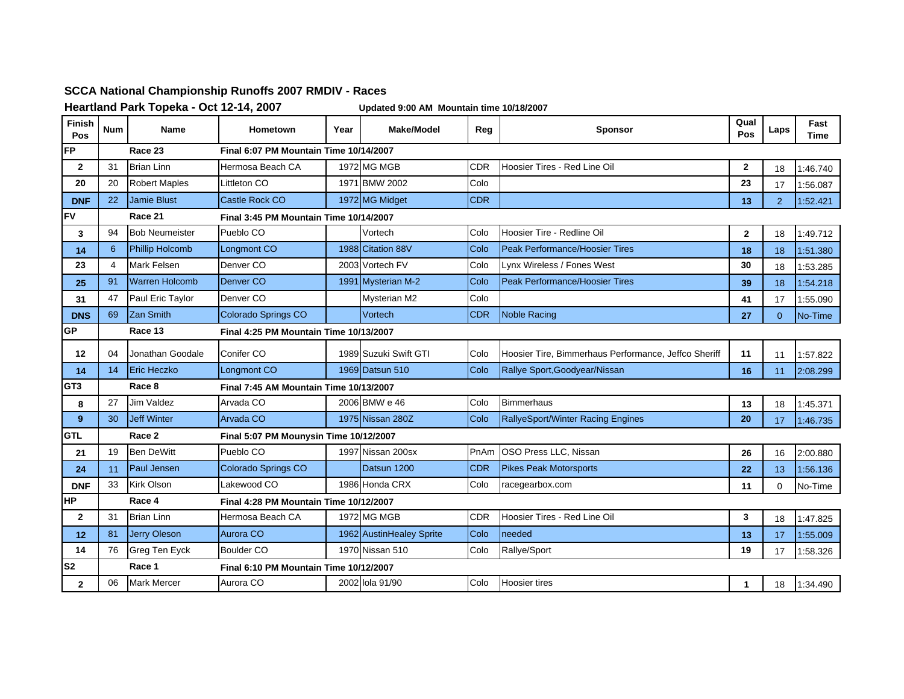## **SCCA National Championship Runoffs 2007 RMDIV - Races**

**Heartland Park Topeka - Oct 12-14, 2007 Updated 9:00 AM Mountain time 10/18/2007**

| Finish<br>Pos   | <b>Num</b> | Name                   | <b>Hometown</b>                               | Year                                   | <b>Make/Model</b>        | Reg        | <b>Sponsor</b>                                       | Qual<br>Pos  | Laps     | Fast<br>Time |  |
|-----------------|------------|------------------------|-----------------------------------------------|----------------------------------------|--------------------------|------------|------------------------------------------------------|--------------|----------|--------------|--|
| <b>FP</b>       |            | Race 23                | Final 6:07 PM Mountain Time 10/14/2007        |                                        |                          |            |                                                      |              |          |              |  |
| $\mathbf{2}$    | 31         | <b>Brian Linn</b>      | Hermosa Beach CA                              |                                        | 1972 MG MGB              | <b>CDR</b> | Hoosier Tires - Red Line Oil                         | $\mathbf{2}$ | 18       | 1:46.740     |  |
| 20              | 20         | <b>Robert Maples</b>   | Littleton CO                                  |                                        | 1971 BMW 2002            | Colo       |                                                      | 23           | 17       | 1:56.087     |  |
| <b>DNF</b>      | 22         | <b>Jamie Blust</b>     | Castle Rock CO                                |                                        | 1972 MG Midget           | <b>CDR</b> |                                                      | 13           | 2        | 1:52.421     |  |
| <b>FV</b>       |            | Race 21                | <b>Final 3:45 PM Mountain Time 10/14/2007</b> |                                        |                          |            |                                                      |              |          |              |  |
| 3               | 94         | <b>Bob Neumeister</b>  | Pueblo CO                                     |                                        | Vortech                  | Colo       | Hoosier Tire - Redline Oil                           | $\mathbf{2}$ | 18       | 1:49.712     |  |
| 14              | 6          | <b>Phillip Holcomb</b> | Longmont CO                                   |                                        | 1988 Citation 88V        | Colo       | <b>Peak Performance/Hoosier Tires</b>                | 18           | 18       | 1:51.380     |  |
| 23              | 4          | <b>Mark Felsen</b>     | Denver CO                                     |                                        | 2003 Vortech FV          | Colo       | Lynx Wireless / Fones West                           | 30           | 18       | 1:53.285     |  |
| 25              | 91         | <b>Warren Holcomb</b>  | Denver <sub>CO</sub>                          |                                        | 1991 Mysterian M-2       | Colo       | Peak Performance/Hoosier Tires                       | 39           | 18       | 1:54.218     |  |
| 31              | 47         | Paul Eric Taylor       | Denver <sub>CO</sub>                          |                                        | <b>Mysterian M2</b>      | Colo       |                                                      | 41           | 17       | 1:55.090     |  |
| <b>DNS</b>      | 69         | Zan Smith              | Colorado Springs CO                           |                                        | Vortech                  | <b>CDR</b> | <b>Noble Racing</b>                                  | 27           | $\Omega$ | No-Time      |  |
| GP              |            | Race 13                | Final 4:25 PM Mountain Time 10/13/2007        |                                        |                          |            |                                                      |              |          |              |  |
| 12              | 04         | Jonathan Goodale       | Conifer CO                                    |                                        | 1989 Suzuki Swift GTI    | Colo       | Hoosier Tire, Bimmerhaus Performance, Jeffco Sheriff | 11           | 11       | 1:57.822     |  |
| 14              | 14         | <b>Eric Heczko</b>     | Longmont CO                                   |                                        | 1969 Datsun 510          | Colo       | Rallye Sport, Goodyear/Nissan                        | 16           | 11       | 2:08.299     |  |
| GT <sub>3</sub> |            | Race 8                 |                                               | Final 7:45 AM Mountain Time 10/13/2007 |                          |            |                                                      |              |          |              |  |
| 8               | 27         | <b>Jim Valdez</b>      | Arvada CO                                     |                                        | 2006 BMW e 46            | Colo       | <b>Bimmerhaus</b>                                    | 13           | 18       | 1:45.371     |  |
| 9 <sup>°</sup>  | 30         | <b>Jeff Winter</b>     | Arvada CO                                     |                                        | 1975 Nissan 280Z         | Colo       | RallyeSport/Winter Racing Engines                    | 20           | 17       | 1:46.735     |  |
| <b>GTL</b>      |            | Race 2                 |                                               | Final 5:07 PM Mounysin Time 10/12/2007 |                          |            |                                                      |              |          |              |  |
| 21              | 19         | <b>Ben DeWitt</b>      | Pueblo CO                                     |                                        | 1997 Nissan 200sx        | PnAm       | OSO Press LLC, Nissan                                | 26           | 16       | 2:00.880     |  |
| 24              | 11         | Paul Jensen            | Colorado Springs CO                           |                                        | Datsun 1200              | <b>CDR</b> | <b>Pikes Peak Motorsports</b>                        | 22           | 13       | 1:56.136     |  |
| <b>DNF</b>      | 33         | Kirk Olson             | Lakewood CO                                   |                                        | 1986 Honda CRX           | Colo       | racegearbox.com                                      | 11           | $\Omega$ | No-Time      |  |
| HP              |            | Race 4                 | Final 4:28 PM Mountain Time 10/12/2007        |                                        |                          |            |                                                      |              |          |              |  |
| $\mathbf{2}$    | 31         | <b>Brian Linn</b>      | Hermosa Beach CA                              |                                        | 1972 MG MGB              | <b>CDR</b> | Hoosier Tires - Red Line Oil                         | 3            | 18       | 1:47.825     |  |
| 12              | 81         | <b>Jerry Oleson</b>    | Aurora CO                                     |                                        | 1962 AustinHealey Sprite | Colo       | needed                                               | 13           | 17       | 1:55.009     |  |
| 14              | 76         | Greg Ten Eyck          | <b>Boulder CO</b>                             |                                        | 1970 Nissan 510          | Colo       | Rallye/Sport                                         | 19           | 17       | 1:58.326     |  |
| S <sub>2</sub>  |            | Race 1                 | Final 6:10 PM Mountain Time 10/12/2007        |                                        |                          |            |                                                      |              |          |              |  |
| $\mathbf{2}$    | 06         | <b>Mark Mercer</b>     | Aurora CO                                     |                                        | 2002 Iola 91/90          | Colo       | <b>Hoosier tires</b>                                 | 1            | 18       | 1:34.490     |  |